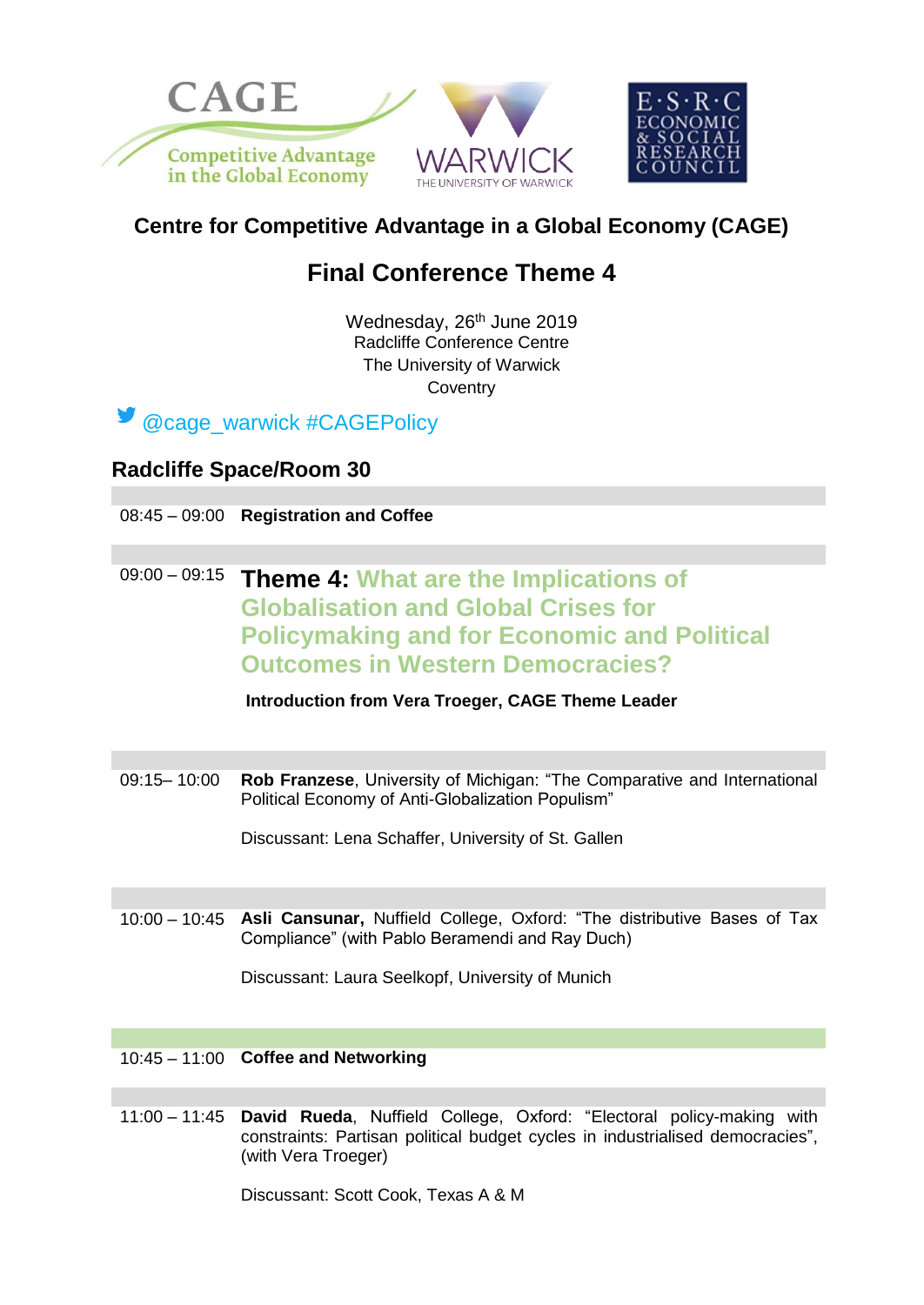

## **Centre for Competitive Advantage in a Global Economy (CAGE)**

# **Final Conference Theme 4**

Wednesday, 26<sup>th</sup> June 2019 Radcliffe Conference Centre The University of Warwick **Coventry** 



### **Radcliffe Space/Room 30**

08:45 – 09:00 **Registration and Coffee**

### 09:00 – 09:15 **Theme 4: What are the Implications of Globalisation and Global Crises for Policymaking and for Economic and Political Outcomes in Western Democracies?**

**Introduction from Vera Troeger, CAGE Theme Leader**

09:15– 10:00 **Rob Franzese**, University of Michigan: "The Comparative and International Political Economy of Anti-Globalization Populism"

Discussant: Lena Schaffer, University of St. Gallen

10:00 – 10:45 **Asli Cansunar,** Nuffield College, Oxford: "The distributive Bases of Tax Compliance" (with Pablo Beramendi and Ray Duch)

Discussant: Laura Seelkopf, University of Munich

#### 10:45 – 11:00 **Coffee and Networking**

11:00 – 11:45 **David Rueda**, Nuffield College, Oxford: "Electoral policy-making with constraints: Partisan political budget cycles in industrialised democracies", (with Vera Troeger)

Discussant: Scott Cook, Texas A & M